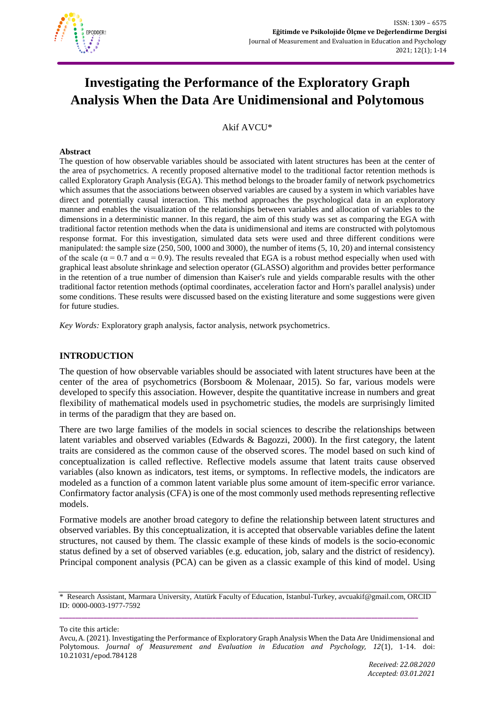

# **Investigating the Performance of the Exploratory Graph Analysis When the Data Are Unidimensional and Polytomous**

Akif AVCU\*

#### **Abstract**

The question of how observable variables should be associated with latent structures has been at the center of the area of psychometrics. A recently proposed alternative model to the traditional factor retention methods is called Exploratory Graph Analysis (EGA). This method belongs to the broader family of network psychometrics which assumes that the associations between observed variables are caused by a system in which variables have direct and potentially causal interaction. This method approaches the psychological data in an exploratory manner and enables the visualization of the relationships between variables and allocation of variables to the dimensions in a deterministic manner. In this regard, the aim of this study was set as comparing the EGA with traditional factor retention methods when the data is unidimensional and items are constructed with polytomous response format. For this investigation, simulated data sets were used and three different conditions were manipulated: the sample size (250, 500, 1000 and 3000), the number of items (5, 10, 20) and internal consistency of the scale ( $\alpha$  = 0.7 and  $\alpha$  = 0.9). The results revealed that EGA is a robust method especially when used with graphical least absolute shrinkage and selection operator (GLASSO) algorithm and provides better performance in the retention of a true number of dimension than Kaiser's rule and yields comparable results with the other traditional factor retention methods (optimal coordinates, acceleration factor and Horn's parallel analysis) under some conditions. These results were discussed based on the existing literature and some suggestions were given for future studies.

*Key Words:* Exploratory graph analysis, factor analysis, network psychometrics.

# **INTRODUCTION**

The question of how observable variables should be associated with latent structures have been at the center of the area of psychometrics (Borsboom & Molenaar, 2015). So far, various models were developed to specify this association. However, despite the quantitative increase in numbers and great flexibility of mathematical models used in psychometric studies, the models are surprisingly limited in terms of the paradigm that they are based on.

There are two large families of the models in social sciences to describe the relationships between latent variables and observed variables (Edwards & Bagozzi, 2000). In the first category, the latent traits are considered as the common cause of the observed scores. The model based on such kind of conceptualization is called reflective. Reflective models assume that latent traits cause observed variables (also known as indicators, test items, or symptoms. In reflective models, the indicators are modeled as a function of a common latent variable plus some amount of item-specific error variance. Confirmatory factor analysis (CFA) is one of the most commonly used methods representing reflective models.

Formative models are another broad category to define the relationship between latent structures and observed variables. By this conceptualization, it is accepted that observable variables define the latent structures, not caused by them. The classic example of these kinds of models is the socio-economic status defined by a set of observed variables (e.g. education, job, salary and the district of residency). Principal component analysis (PCA) can be given as a classic example of this kind of model. Using

**\_\_\_\_\_\_\_\_\_\_\_\_\_\_\_\_\_\_\_\_\_\_\_\_\_\_\_\_\_\_\_\_\_\_\_\_\_\_\_\_\_\_\_\_\_\_\_\_\_\_\_\_\_\_\_\_\_\_\_\_\_\_\_\_\_\_\_\_\_\_\_\_\_\_\_\_\_\_\_\_\_\_\_\_\_\_\_\_\_\_\_\_\_\_\_\_\_\_\_\_\_\_\_\_\_\_\_\_\_\_\_\_\_\_\_**

To cite this article:

<sup>\*</sup> Research Assistant, Marmara University, Atatürk Faculty of Education, Istanbul-Turkey, avcuakif@gmail.com, ORCID ID: 0000-0003-1977-7592

Avcu, A. (2021). Investigating the Performance of Exploratory Graph Analysis When the Data Are Unidimensional and Polytomous. *Journal of Measurement and Evaluation in Education and Psychology, 12*(1), 1-14. doi: 10.21031/epod.784128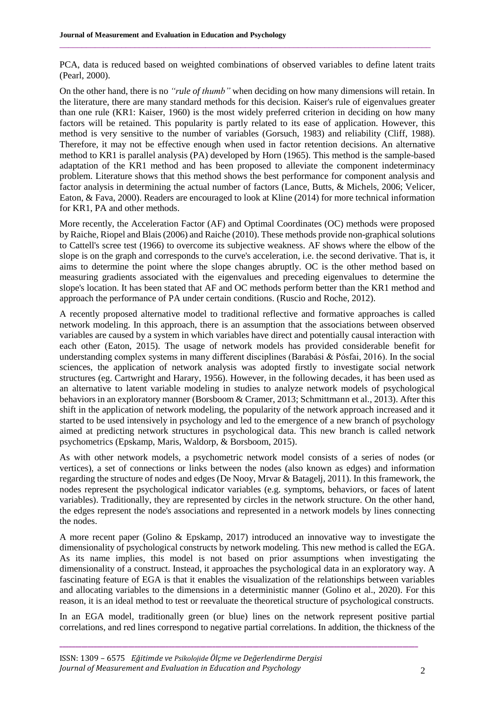PCA, data is reduced based on weighted combinations of observed variables to define latent traits (Pearl, 2000).

 $\_$  , and the state of the state of the state of the state of the state of the state of the state of the state of the state of the state of the state of the state of the state of the state of the state of the state of the

On the other hand, there is no *"rule of thumb"* when deciding on how many dimensions will retain. In the literature, there are many standard methods for this decision. Kaiser's rule of eigenvalues greater than one rule (KR1: Kaiser, 1960) is the most widely preferred criterion in deciding on how many factors will be retained. This popularity is partly related to its ease of application. However, this method is very sensitive to the number of variables (Gorsuch, 1983) and reliability (Cliff, 1988). Therefore, it may not be effective enough when used in factor retention decisions. An alternative method to KR1 is parallel analysis (PA) developed by Horn (1965). This method is the sample-based adaptation of the KR1 method and has been proposed to alleviate the component indeterminacy problem. Literature shows that this method shows the best performance for component analysis and factor analysis in determining the actual number of factors (Lance, Butts, & Michels, 2006; Velicer, Eaton, & Fava, 2000). Readers are encouraged to look at Kline (2014) for more technical information for KR1, PA and other methods.

More recently, the Acceleration Factor (AF) and Optimal Coordinates (OC) methods were proposed by Raiche, Riopel and Blais (2006) and Raiche (2010). These methods provide non-graphical solutions to Cattell's scree test (1966) to overcome its subjective weakness. AF shows where the elbow of the slope is on the graph and corresponds to the curve's acceleration, i.e. the second derivative. That is, it aims to determine the point where the slope changes abruptly. OC is the other method based on measuring gradients associated with the eigenvalues and preceding eigenvalues to determine the slope's location. It has been stated that AF and OC methods perform better than the KR1 method and approach the performance of PA under certain conditions. (Ruscio and Roche, 2012).

A recently proposed alternative model to traditional reflective and formative approaches is called network modeling. In this approach, there is an assumption that the associations between observed variables are caused by a system in which variables have direct and potentially causal interaction with each other (Eaton, 2015). The usage of network models has provided considerable benefit for understanding complex systems in many different disciplines (Barabási & Pósfai, 2016). In the social sciences, the application of network analysis was adopted firstly to investigate social network structures (eg. Cartwright and Harary, 1956). However, in the following decades, it has been used as an alternative to latent variable modeling in studies to analyze network models of psychological behaviors in an exploratory manner (Borsboom & Cramer, 2013; Schmittmann et al., 2013). After this shift in the application of network modeling, the popularity of the network approach increased and it started to be used intensively in psychology and led to the emergence of a new branch of psychology aimed at predicting network structures in psychological data. This new branch is called network psychometrics (Epskamp, Maris, Waldorp, & Borsboom, 2015).

As with other network models, a psychometric network model consists of a series of nodes (or vertices), a set of connections or links between the nodes (also known as edges) and information regarding the structure of nodes and edges (De Nooy, Mrvar & Batagelj, 2011). In this framework, the nodes represent the psychological indicator variables (e.g. symptoms, behaviors, or faces of latent variables). Traditionally, they are represented by circles in the network structure. On the other hand, the edges represent the node's associations and represented in a network models by lines connecting the nodes.

A more recent paper (Golino & Epskamp, 2017) introduced an innovative way to investigate the dimensionality of psychological constructs by network modeling. This new method is called the EGA. As its name implies, this model is not based on prior assumptions when investigating the dimensionality of a construct. Instead, it approaches the psychological data in an exploratory way. A fascinating feature of EGA is that it enables the visualization of the relationships between variables and allocating variables to the dimensions in a deterministic manner (Golino et al., 2020). For this reason, it is an ideal method to test or reevaluate the theoretical structure of psychological constructs.

In an EGA model, traditionally green (or blue) lines on the network represent positive partial correlations, and red lines correspond to negative partial correlations. In addition, the thickness of the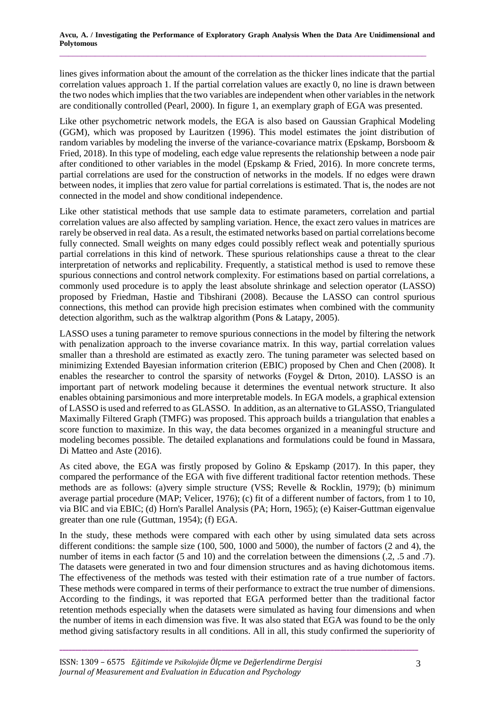lines gives information about the amount of the correlation as the thicker lines indicate that the partial correlation values approach 1. If the partial correlation values are exactly 0, no line is drawn between the two nodes which implies that the two variables are independent when other variables in the network are conditionally controlled (Pearl, 2000). In figure 1, an exemplary graph of EGA was presented.

Like other psychometric network models, the EGA is also based on Gaussian Graphical Modeling (GGM), which was proposed by Lauritzen (1996). This model estimates the joint distribution of random variables by modeling the inverse of the variance-covariance matrix (Epskamp, Borsboom & Fried, 2018). In this type of modeling, each edge value represents the relationship between a node pair after conditioned to other variables in the model (Epskamp & Fried, 2016). In more concrete terms, partial correlations are used for the construction of networks in the models. If no edges were drawn between nodes, it implies that zero value for partial correlations is estimated. That is, the nodes are not connected in the model and show conditional independence.

Like other statistical methods that use sample data to estimate parameters, correlation and partial correlation values are also affected by sampling variation. Hence, the exact zero values in matrices are rarely be observed in real data. As a result, the estimated networks based on partial correlations become fully connected. Small weights on many edges could possibly reflect weak and potentially spurious partial correlations in this kind of network. These spurious relationships cause a threat to the clear interpretation of networks and replicability. Frequently, a statistical method is used to remove these spurious connections and control network complexity. For estimations based on partial correlations, a commonly used procedure is to apply the least absolute shrinkage and selection operator (LASSO) proposed by Friedman, Hastie and Tibshirani (2008). Because the LASSO can control spurious connections, this method can provide high precision estimates when combined with the community detection algorithm, such as the walktrap algorithm (Pons & Latapy, 2005).

LASSO uses a tuning parameter to remove spurious connections in the model by filtering the network with penalization approach to the inverse covariance matrix. In this way, partial correlation values smaller than a threshold are estimated as exactly zero. The tuning parameter was selected based on minimizing Extended Bayesian information criterion (EBIC) proposed by Chen and Chen (2008). It enables the researcher to control the sparsity of networks (Foygel & Drton, 2010). LASSO is an important part of network modeling because it determines the eventual network structure. It also enables obtaining parsimonious and more interpretable models. In EGA models, a graphical extension of LASSO is used and referred to as GLASSO. In addition, as an alternative to GLASSO, Triangulated Maximally Filtered Graph (TMFG) was proposed. This approach builds a triangulation that enables a score function to maximize. In this way, the data becomes organized in a meaningful structure and modeling becomes possible. The detailed explanations and formulations could be found in Massara, Di Matteo and Aste (2016).

As cited above, the EGA was firstly proposed by Golino & Epskamp (2017). In this paper, they compared the performance of the EGA with five different traditional factor retention methods. These methods are as follows: (a)very simple structure (VSS; Revelle & Rocklin, 1979); (b) minimum average partial procedure (MAP; Velicer, 1976); (c) fit of a different number of factors, from 1 to 10, via BIC and via EBIC; (d) Horn's Parallel Analysis (PA; Horn, 1965); (e) Kaiser-Guttman eigenvalue greater than one rule (Guttman, 1954); (f) EGA.

In the study, these methods were compared with each other by using simulated data sets across different conditions: the sample size (100, 500, 1000 and 5000), the number of factors (2 and 4), the number of items in each factor (5 and 10) and the correlation between the dimensions (.2, .5 and .7). The datasets were generated in two and four dimension structures and as having dichotomous items. The effectiveness of the methods was tested with their estimation rate of a true number of factors. These methods were compared in terms of their performance to extract the true number of dimensions. According to the findings, it was reported that EGA performed better than the traditional factor retention methods especially when the datasets were simulated as having four dimensions and when the number of items in each dimension was five. It was also stated that EGA was found to be the only method giving satisfactory results in all conditions. All in all, this study confirmed the superiority of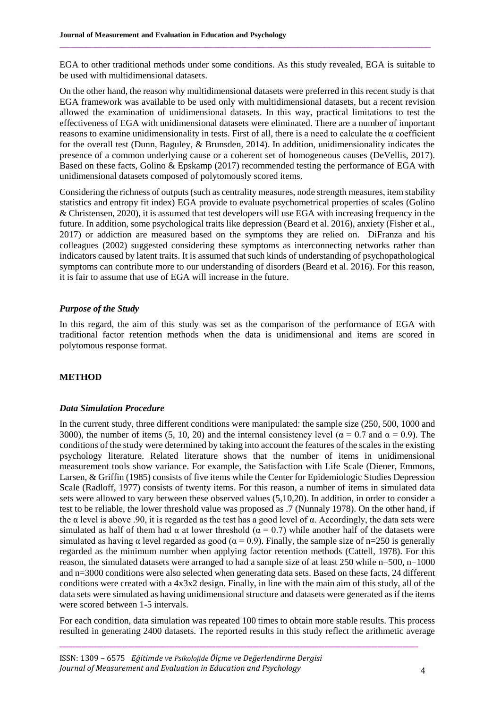EGA to other traditional methods under some conditions. As this study revealed, EGA is suitable to be used with multidimensional datasets.

 $\_$  , and the state of the state of the state of the state of the state of the state of the state of the state of the state of the state of the state of the state of the state of the state of the state of the state of the

On the other hand, the reason why multidimensional datasets were preferred in this recent study is that EGA framework was available to be used only with multidimensional datasets, but a recent revision allowed the examination of unidimensional datasets. In this way, practical limitations to test the effectiveness of EGA with unidimensional datasets were eliminated. There are a number of important reasons to examine unidimensionality in tests. First of all, there is a need to calculate the  $\alpha$  coefficient for the overall test (Dunn, Baguley, & Brunsden, 2014). In addition, unidimensionality indicates the presence of a common underlying cause or a coherent set of homogeneous causes (DeVellis, 2017). Based on these facts, Golino & Epskamp (2017) recommended testing the performance of EGA with unidimensional datasets composed of polytomously scored items.

Considering the richness of outputs (such as centrality measures, node strength measures, item stability statistics and entropy fit index) EGA provide to evaluate psychometrical properties of scales (Golino & Christensen, 2020), it is assumed that test developers will use EGA with increasing frequency in the future. In addition, some psychological traits like depression (Beard et al. 2016), anxiety (Fisher et al., 2017) or addiction are measured based on the symptoms they are relied on. DiFranza and his colleagues (2002) suggested considering these symptoms as interconnecting networks rather than indicators caused by latent traits. It is assumed that such kinds of understanding of psychopathological symptoms can contribute more to our understanding of disorders (Beard et al. 2016). For this reason, it is fair to assume that use of EGA will increase in the future.

#### *Purpose of the Study*

In this regard, the aim of this study was set as the comparison of the performance of EGA with traditional factor retention methods when the data is unidimensional and items are scored in polytomous response format.

### **METHOD**

#### *Data Simulation Procedure*

In the current study, three different conditions were manipulated: the sample size (250, 500, 1000 and 3000), the number of items (5, 10, 20) and the internal consistency level ( $\alpha = 0.7$  and  $\alpha = 0.9$ ). The conditions of the study were determined by taking into account the features of the scales in the existing psychology literature. Related literature shows that the number of items in unidimensional measurement tools show variance. For example, the Satisfaction with Life Scale (Diener, Emmons, Larsen, & Griffin (1985) consists of five items while the Center for Epidemiologic Studies Depression Scale (Radloff, 1977) consists of twenty items. For this reason, a number of items in simulated data sets were allowed to vary between these observed values (5,10,20). In addition, in order to consider a test to be reliable, the lower threshold value was proposed as .7 (Nunnaly 1978). On the other hand, if the α level is above .90, it is regarded as the test has a good level of α. Accordingly, the data sets were simulated as half of them had  $\alpha$  at lower threshold ( $\alpha = 0.7$ ) while another half of the datasets were simulated as having  $\alpha$  level regarded as good ( $\alpha = 0.9$ ). Finally, the sample size of n=250 is generally regarded as the minimum number when applying factor retention methods (Cattell, 1978). For this reason, the simulated datasets were arranged to had a sample size of at least 250 while n=500, n=1000 and n=3000 conditions were also selected when generating data sets. Based on these facts, 24 different conditions were created with a 4x3x2 design. Finally, in line with the main aim of this study, all of the data sets were simulated as having unidimensional structure and datasets were generated as if the items were scored between 1-5 intervals.

For each condition, data simulation was repeated 100 times to obtain more stable results. This process resulted in generating 2400 datasets. The reported results in this study reflect the arithmetic average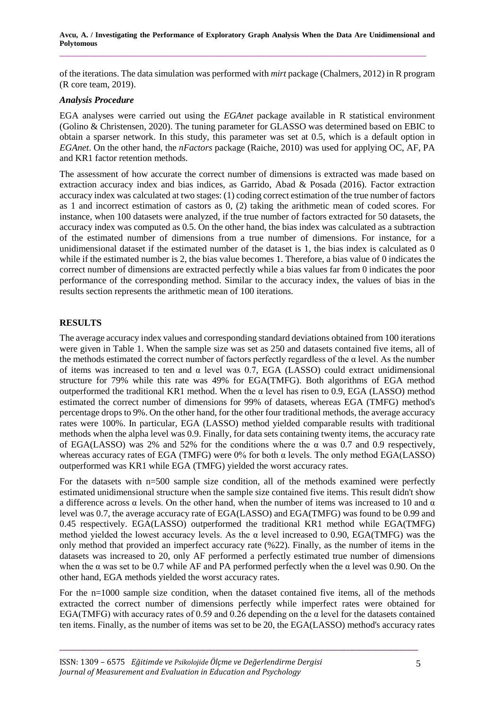of the iterations. The data simulation was performed with *mirt* package (Chalmers, 2012) in R program (R core team, 2019).

### *Analysis Procedure*

EGA analyses were carried out using the *EGAnet* package available in R statistical environment (Golino & Christensen, 2020). The tuning parameter for GLASSO was determined based on EBIC to obtain a sparser network. In this study, this parameter was set at 0.5, which is a default option in *EGAnet*. On the other hand, the *nFactors* package (Raiche, 2010) was used for applying OC, AF, PA and KR1 factor retention methods.

The assessment of how accurate the correct number of dimensions is extracted was made based on extraction accuracy index and bias indices, as Garrido, Abad & Posada (2016). Factor extraction accuracy index was calculated at two stages: (1) coding correct estimation of the true number of factors as 1 and incorrect estimation of castors as 0, (2) taking the arithmetic mean of coded scores. For instance, when 100 datasets were analyzed, if the true number of factors extracted for 50 datasets, the accuracy index was computed as 0.5. On the other hand, the bias index was calculated as a subtraction of the estimated number of dimensions from a true number of dimensions. For instance, for a unidimensional dataset if the estimated number of the dataset is 1, the bias index is calculated as 0 while if the estimated number is 2, the bias value becomes 1. Therefore, a bias value of 0 indicates the correct number of dimensions are extracted perfectly while a bias values far from 0 indicates the poor performance of the corresponding method. Similar to the accuracy index, the values of bias in the results section represents the arithmetic mean of 100 iterations.

## **RESULTS**

The average accuracy index values and corresponding standard deviations obtained from 100 iterations were given in Table 1. When the sample size was set as 250 and datasets contained five items, all of the methods estimated the correct number of factors perfectly regardless of the  $\alpha$  level. As the number of items was increased to ten and  $\alpha$  level was 0.7, EGA (LASSO) could extract unidimensional structure for 79% while this rate was 49% for EGA(TMFG). Both algorithms of EGA method outperformed the traditional KR1 method. When the α level has risen to 0.9, EGA (LASSO) method estimated the correct number of dimensions for 99% of datasets, whereas EGA (TMFG) method's percentage drops to 9%. On the other hand, for the other four traditional methods, the average accuracy rates were 100%. In particular, EGA (LASSO) method yielded comparable results with traditional methods when the alpha level was 0.9. Finally, for data sets containing twenty items, the accuracy rate of EGA(LASSO) was 2% and 52% for the conditions where the  $\alpha$  was 0.7 and 0.9 respectively, whereas accuracy rates of EGA (TMFG) were  $0\%$  for both  $\alpha$  levels. The only method EGA(LASSO) outperformed was KR1 while EGA (TMFG) yielded the worst accuracy rates.

For the datasets with  $n=500$  sample size condition, all of the methods examined were perfectly estimated unidimensional structure when the sample size contained five items. This result didn't show a difference across  $\alpha$  levels. On the other hand, when the number of items was increased to 10 and  $\alpha$ level was 0.7, the average accuracy rate of EGA(LASSO) and EGA(TMFG) was found to be 0.99 and 0.45 respectively. EGA(LASSO) outperformed the traditional KR1 method while EGA(TMFG) method yielded the lowest accuracy levels. As the  $\alpha$  level increased to 0.90, EGA(TMFG) was the only method that provided an imperfect accuracy rate (%22). Finally, as the number of items in the datasets was increased to 20, only AF performed a perfectly estimated true number of dimensions when the  $\alpha$  was set to be 0.7 while AF and PA performed perfectly when the  $\alpha$  level was 0.90. On the other hand, EGA methods yielded the worst accuracy rates.

For the n=1000 sample size condition, when the dataset contained five items, all of the methods extracted the correct number of dimensions perfectly while imperfect rates were obtained for EGA(TMFG) with accuracy rates of 0.59 and 0.26 depending on the  $\alpha$  level for the datasets contained ten items. Finally, as the number of items was set to be 20, the EGA(LASSO) method's accuracy rates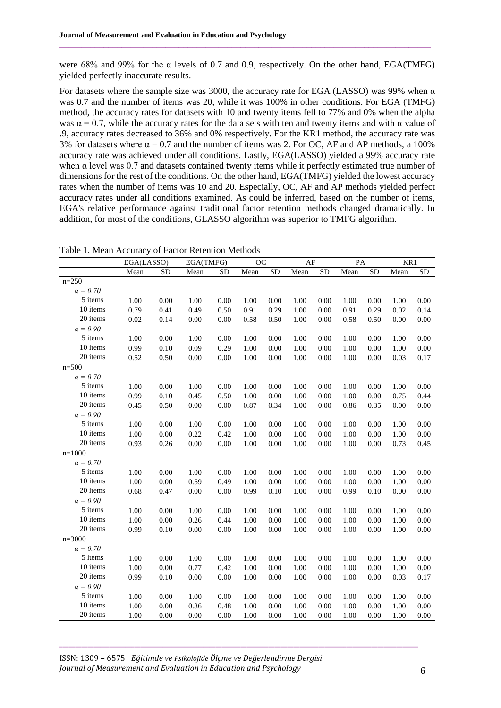were 68% and 99% for the α levels of 0.7 and 0.9, respectively. On the other hand, EGA(TMFG) yielded perfectly inaccurate results.

 $\_$  , and the state of the state of the state of the state of the state of the state of the state of the state of the state of the state of the state of the state of the state of the state of the state of the state of the

For datasets where the sample size was 3000, the accuracy rate for EGA (LASSO) was 99% when  $\alpha$ was 0.7 and the number of items was 20, while it was 100% in other conditions. For EGA (TMFG) method, the accuracy rates for datasets with 10 and twenty items fell to 77% and 0% when the alpha was  $\alpha = 0.7$ , while the accuracy rates for the data sets with ten and twenty items and with  $\alpha$  value of .9, accuracy rates decreased to 36% and 0% respectively. For the KR1 method, the accuracy rate was 3% for datasets where  $\alpha = 0.7$  and the number of items was 2. For OC, AF and AP methods, a 100% accuracy rate was achieved under all conditions. Lastly, EGA(LASSO) yielded a 99% accuracy rate when  $\alpha$  level was 0.7 and datasets contained twenty items while it perfectly estimated true number of dimensions for the rest of the conditions. On the other hand, EGA(TMFG) yielded the lowest accuracy rates when the number of items was 10 and 20. Especially, OC, AF and AP methods yielded perfect accuracy rates under all conditions examined. As could be inferred, based on the number of items, EGA's relative performance against traditional factor retention methods changed dramatically. In addition, for most of the conditions, GLASSO algorithm was superior to TMFG algorithm.

Table 1. Mean Accuracy of Factor Retention Methods

|                 | EGA(LASSO) |           | EGA(TMFG) |           | $\overline{OC}$ |           | $\overline{AF}$ |           | $\overline{PA}$ |           | KR1  |            |
|-----------------|------------|-----------|-----------|-----------|-----------------|-----------|-----------------|-----------|-----------------|-----------|------|------------|
|                 | Mean       | <b>SD</b> | Mean      | <b>SD</b> | Mean            | <b>SD</b> | Mean            | <b>SD</b> | Mean            | <b>SD</b> | Mean | ${\rm SD}$ |
| $n = 250$       |            |           |           |           |                 |           |                 |           |                 |           |      |            |
| $\alpha = 0.70$ |            |           |           |           |                 |           |                 |           |                 |           |      |            |
| 5 items         | 1.00       | 0.00      | 1.00      | 0.00      | 1.00            | 0.00      | 1.00            | 0.00      | 1.00            | 0.00      | 1.00 | 0.00       |
| 10 items        | 0.79       | 0.41      | 0.49      | 0.50      | 0.91            | 0.29      | 1.00            | $0.00\,$  | 0.91            | 0.29      | 0.02 | 0.14       |
| 20 items        | 0.02       | 0.14      | 0.00      | 0.00      | 0.58            | 0.50      | 1.00            | 0.00      | 0.58            | 0.50      | 0.00 | 0.00       |
| $\alpha = 0.90$ |            |           |           |           |                 |           |                 |           |                 |           |      |            |
| 5 items         | 1.00       | 0.00      | 1.00      | 0.00      | 1.00            | 0.00      | 1.00            | 0.00      | 1.00            | 0.00      | 1.00 | 0.00       |
| 10 items        | 0.99       | 0.10      | 0.09      | 0.29      | 1.00            | 0.00      | 1.00            | 0.00      | 1.00            | 0.00      | 1.00 | 0.00       |
| 20 items        | 0.52       | 0.50      | $0.00\,$  | 0.00      | 1.00            | 0.00      | 1.00            | $0.00\,$  | 1.00            | 0.00      | 0.03 | 0.17       |
| $n = 500$       |            |           |           |           |                 |           |                 |           |                 |           |      |            |
| $\alpha = 0.70$ |            |           |           |           |                 |           |                 |           |                 |           |      |            |
| 5 items         | 1.00       | 0.00      | 1.00      | 0.00      | 1.00            | 0.00      | 1.00            | 0.00      | 1.00            | 0.00      | 1.00 | $0.00\,$   |
| 10 items        | 0.99       | 0.10      | 0.45      | 0.50      | 1.00            | 0.00      | 1.00            | 0.00      | 1.00            | 0.00      | 0.75 | 0.44       |
| 20 items        | 0.45       | 0.50      | 0.00      | 0.00      | 0.87            | 0.34      | 1.00            | 0.00      | 0.86            | 0.35      | 0.00 | 0.00       |
| $\alpha = 0.90$ |            |           |           |           |                 |           |                 |           |                 |           |      |            |
| 5 items         | 1.00       | 0.00      | 1.00      | 0.00      | 1.00            | 0.00      | 1.00            | 0.00      | 1.00            | 0.00      | 1.00 | 0.00       |
| 10 items        | $1.00\,$   | 0.00      | 0.22      | 0.42      | 1.00            | 0.00      | 1.00            | 0.00      | 1.00            | 0.00      | 1.00 | 0.00       |
| 20 items        | 0.93       | 0.26      | 0.00      | 0.00      | 1.00            | 0.00      | 1.00            | 0.00      | 1.00            | 0.00      | 0.73 | 0.45       |
| $n=1000$        |            |           |           |           |                 |           |                 |           |                 |           |      |            |
| $\alpha = 0.70$ |            |           |           |           |                 |           |                 |           |                 |           |      |            |
| 5 items         | 1.00       | 0.00      | 1.00      | 0.00      | 1.00            | 0.00      | 1.00            | 0.00      | 1.00            | 0.00      | 1.00 | 0.00       |
| 10 items        | 1.00       | 0.00      | 0.59      | 0.49      | 1.00            | 0.00      | 1.00            | $0.00\,$  | 1.00            | 0.00      | 1.00 | 0.00       |
| 20 items        | 0.68       | 0.47      | 0.00      | 0.00      | 0.99            | 0.10      | 1.00            | 0.00      | 0.99            | 0.10      | 0.00 | 0.00       |
| $\alpha = 0.90$ |            |           |           |           |                 |           |                 |           |                 |           |      |            |
| 5 items         | 1.00       | 0.00      | 1.00      | 0.00      | 1.00            | 0.00      | 1.00            | 0.00      | 1.00            | 0.00      | 1.00 | $0.00\,$   |
| 10 items        | 1.00       | 0.00      | 0.26      | 0.44      | 1.00            | 0.00      | 1.00            | 0.00      | 1.00            | 0.00      | 1.00 | 0.00       |
| 20 items        | 0.99       | 0.10      | $0.00\,$  | 0.00      | 1.00            | 0.00      | 1.00            | 0.00      | 1.00            | 0.00      | 1.00 | 0.00       |
| $n = 3000$      |            |           |           |           |                 |           |                 |           |                 |           |      |            |
| $\alpha = 0.70$ |            |           |           |           |                 |           |                 |           |                 |           |      |            |
| 5 items         | 1.00       | 0.00      | 1.00      | 0.00      | 1.00            | 0.00      | 1.00            | 0.00      | 1.00            | 0.00      | 1.00 | 0.00       |
| 10 items        | 1.00       | 0.00      | 0.77      | 0.42      | 1.00            | 0.00      | 1.00            | 0.00      | 1.00            | 0.00      | 1.00 | $0.00\,$   |
| 20 items        | 0.99       | 0.10      | 0.00      | 0.00      | 1.00            | 0.00      | 1.00            | 0.00      | 1.00            | 0.00      | 0.03 | 0.17       |
| $\alpha = 0.90$ |            |           |           |           |                 |           |                 |           |                 |           |      |            |
| 5 items         | 1.00       | 0.00      | 1.00      | 0.00      | 1.00            | 0.00      | 1.00            | 0.00      | 1.00            | 0.00      | 1.00 | 0.00       |
| 10 items        | 1.00       | 0.00      | 0.36      | 0.48      | 1.00            | 0.00      | 1.00            | 0.00      | 1.00            | 0.00      | 1.00 | 0.00       |
| 20 items        | 1.00       | 0.00      | 0.00      | 0.00      | 1.00            | 0.00      | 1.00            | 0.00      | 1.00            | 0.00      | 1.00 | 0.00       |

ISSN: 1309 – 6575 *Eğitimde ve Psikolojide Ölçme ve Değerlendirme Dergisi Journal of Measurement and Evaluation in Education and Psychology* 666 666 666 666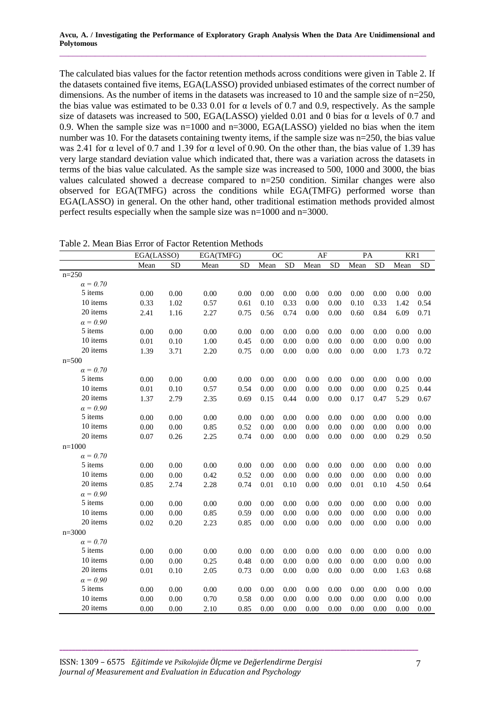The calculated bias values for the factor retention methods across conditions were given in Table 2. If the datasets contained five items, EGA(LASSO) provided unbiased estimates of the correct number of dimensions. As the number of items in the datasets was increased to 10 and the sample size of n=250, the bias value was estimated to be 0.33 0.01 for α levels of 0.7 and 0.9, respectively. As the sample size of datasets was increased to 500, EGA(LASSO) yielded 0.01 and 0 bias for α levels of 0.7 and 0.9. When the sample size was  $n=1000$  and  $n=3000$ , EGA(LASSO) yielded no bias when the item number was 10. For the datasets containing twenty items, if the sample size was n=250, the bias value was 2.41 for  $\alpha$  level of 0.7 and 1.39 for  $\alpha$  level of 0.90. On the other than, the bias value of 1.39 has very large standard deviation value which indicated that, there was a variation across the datasets in terms of the bias value calculated. As the sample size was increased to 500, 1000 and 3000, the bias values calculated showed a decrease compared to n=250 condition. Similar changes were also observed for EGA(TMFG) across the conditions while EGA(TMFG) performed worse than EGA(LASSO) in general. On the other hand, other traditional estimation methods provided almost perfect results especially when the sample size was n=1000 and n=3000.

Table 2. Mean Bias Error of Factor Retention Methods

|                 | EGA(LASSO) |          | EGA(TMFG) |           | $\overline{OC}$ |           | AF   |           | PA   |           | KR1  |           |
|-----------------|------------|----------|-----------|-----------|-----------------|-----------|------|-----------|------|-----------|------|-----------|
|                 | Mean       | SD       | Mean      | <b>SD</b> | Mean            | <b>SD</b> | Mean | <b>SD</b> | Mean | <b>SD</b> | Mean | <b>SD</b> |
| $n = 250$       |            |          |           |           |                 |           |      |           |      |           |      |           |
| $\alpha = 0.70$ |            |          |           |           |                 |           |      |           |      |           |      |           |
| 5 items         | 0.00       | 0.00     | 0.00      | 0.00      | 0.00            | 0.00      | 0.00 | 0.00      | 0.00 | 0.00      | 0.00 | 0.00      |
| 10 items        | 0.33       | 1.02     | 0.57      | 0.61      | 0.10            | 0.33      | 0.00 | 0.00      | 0.10 | 0.33      | 1.42 | 0.54      |
| 20 items        | 2.41       | 1.16     | 2.27      | 0.75      | 0.56            | 0.74      | 0.00 | 0.00      | 0.60 | 0.84      | 6.09 | 0.71      |
| $\alpha = 0.90$ |            |          |           |           |                 |           |      |           |      |           |      |           |
| 5 items         | 0.00       | 0.00     | 0.00      | 0.00      | 0.00            | 0.00      | 0.00 | 0.00      | 0.00 | 0.00      | 0.00 | 0.00      |
| 10 items        | 0.01       | 0.10     | 1.00      | 0.45      | 0.00            | 0.00      | 0.00 | 0.00      | 0.00 | 0.00      | 0.00 | 0.00      |
| 20 items        | 1.39       | 3.71     | 2.20      | 0.75      | 0.00            | 0.00      | 0.00 | 0.00      | 0.00 | 0.00      | 1.73 | 0.72      |
| $n = 500$       |            |          |           |           |                 |           |      |           |      |           |      |           |
| $\alpha = 0.70$ |            |          |           |           |                 |           |      |           |      |           |      |           |
| 5 items         | 0.00       | $0.00\,$ | 0.00      | 0.00      | 0.00            | 0.00      | 0.00 | 0.00      | 0.00 | 0.00      | 0.00 | 0.00      |
| 10 items        | $0.01\,$   | $0.10\,$ | 0.57      | 0.54      | 0.00            | 0.00      | 0.00 | 0.00      | 0.00 | 0.00      | 0.25 | 0.44      |
| 20 items        | 1.37       | 2.79     | 2.35      | 0.69      | 0.15            | 0.44      | 0.00 | 0.00      | 0.17 | 0.47      | 5.29 | 0.67      |
| $\alpha = 0.90$ |            |          |           |           |                 |           |      |           |      |           |      |           |
| 5 items         | 0.00       | 0.00     | 0.00      | 0.00      | 0.00            | 0.00      | 0.00 | 0.00      | 0.00 | 0.00      | 0.00 | 0.00      |
| 10 items        | 0.00       | 0.00     | 0.85      | 0.52      | 0.00            | 0.00      | 0.00 | 0.00      | 0.00 | 0.00      | 0.00 | 0.00      |
| 20 items        | 0.07       | 0.26     | 2.25      | 0.74      | 0.00            | 0.00      | 0.00 | 0.00      | 0.00 | 0.00      | 0.29 | 0.50      |
| $n=1000$        |            |          |           |           |                 |           |      |           |      |           |      |           |
| $\alpha = 0.70$ |            |          |           |           |                 |           |      |           |      |           |      |           |
| 5 items         | 0.00       | 0.00     | 0.00      | 0.00      | 0.00            | 0.00      | 0.00 | 0.00      | 0.00 | 0.00      | 0.00 | 0.00      |
| 10 items        | 0.00       | 0.00     | 0.42      | 0.52      | 0.00            | 0.00      | 0.00 | 0.00      | 0.00 | 0.00      | 0.00 | 0.00      |
| 20 items        | 0.85       | 2.74     | 2.28      | 0.74      | 0.01            | 0.10      | 0.00 | 0.00      | 0.01 | 0.10      | 4.50 | 0.64      |
| $\alpha = 0.90$ |            |          |           |           |                 |           |      |           |      |           |      |           |
| 5 items         | 0.00       | 0.00     | 0.00      | 0.00      | 0.00            | 0.00      | 0.00 | 0.00      | 0.00 | 0.00      | 0.00 | 0.00      |
| 10 items        | 0.00       | $0.00\,$ | 0.85      | 0.59      | 0.00            | 0.00      | 0.00 | 0.00      | 0.00 | 0.00      | 0.00 | $0.00\,$  |
| 20 items        | 0.02       | 0.20     | 2.23      | 0.85      | 0.00            | 0.00      | 0.00 | 0.00      | 0.00 | 0.00      | 0.00 | $0.00\,$  |
| $n = 3000$      |            |          |           |           |                 |           |      |           |      |           |      |           |
| $\alpha = 0.70$ |            |          |           |           |                 |           |      |           |      |           |      |           |
| 5 items         | 0.00       | $0.00\,$ | 0.00      | 0.00      | 0.00            | 0.00      | 0.00 | 0.00      | 0.00 | 0.00      | 0.00 | 0.00      |
| 10 items        | 0.00       | $0.00\,$ | 0.25      | 0.48      | 0.00            | 0.00      | 0.00 | 0.00      | 0.00 | 0.00      | 0.00 | 0.00      |
| 20 items        | 0.01       | 0.10     | 2.05      | 0.73      | 0.00            | 0.00      | 0.00 | 0.00      | 0.00 | 0.00      | 1.63 | 0.68      |
| $\alpha = 0.90$ |            |          |           |           |                 |           |      |           |      |           |      |           |
| 5 items         | 0.00       | 0.00     | 0.00      | 0.00      | 0.00            | 0.00      | 0.00 | 0.00      | 0.00 | 0.00      | 0.00 | 0.00      |
| 10 items        | 0.00       | 0.00     | 0.70      | 0.58      | 0.00            | 0.00      | 0.00 | 0.00      | 0.00 | 0.00      | 0.00 | $0.00\,$  |
| 20 items        | 0.00       | 0.00     | 2.10      | 0.85      | 0.00            | 0.00      | 0.00 | 0.00      | 0.00 | 0.00      | 0.00 | 0.00      |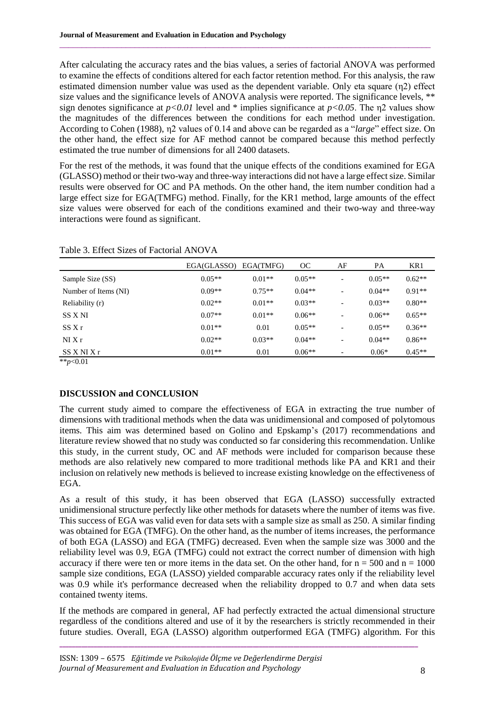After calculating the accuracy rates and the bias values, a series of factorial ANOVA was performed to examine the effects of conditions altered for each factor retention method. For this analysis, the raw estimated dimension number value was used as the dependent variable. Only eta square (η2) effect size values and the significance levels of ANOVA analysis were reported. The significance levels, \*\* sign denotes significance at  $p < 0.01$  level and \* implies significance at  $p < 0.05$ . The  $n2$  values show the magnitudes of the differences between the conditions for each method under investigation. According to Cohen (1988), η2 values of 0.14 and above can be regarded as a "*large*" effect size. On the other hand, the effect size for AF method cannot be compared because this method perfectly estimated the true number of dimensions for all 2400 datasets.

 $\_$  , and the state of the state of the state of the state of the state of the state of the state of the state of the state of the state of the state of the state of the state of the state of the state of the state of the

For the rest of the methods, it was found that the unique effects of the conditions examined for EGA (GLASSO) method or their two-way and three-way interactions did not have a large effect size. Similar results were observed for OC and PA methods. On the other hand, the item number condition had a large effect size for EGA(TMFG) method. Finally, for the KR1 method, large amounts of the effect size values were observed for each of the conditions examined and their two-way and three-way interactions were found as significant.

|                      | EGA(GLASSO) | EGA(TMFG) | OC       | AF | PA       | KR1      |
|----------------------|-------------|-----------|----------|----|----------|----------|
| Sample Size (SS)     | $0.05**$    | $0.01**$  | $0.05**$ |    | $0.05**$ | $0.62**$ |
| Number of Items (NI) | $0.09**$    | $0.75**$  | $0.04**$ | -  | $0.04**$ | $0.91**$ |
| Reliability (r)      | $0.02**$    | $0.01**$  | $0.03**$ |    | $0.03**$ | $0.80**$ |
| SS X NI              | $0.07**$    | $0.01**$  | $0.06**$ | -  | $0.06**$ | $0.65**$ |
| SSXr                 | $0.01**$    | 0.01      | $0.05**$ | -  | $0.05**$ | $0.36**$ |
| NIXr                 | $0.02**$    | $0.03**$  | $0.04**$ | -  | $0.04**$ | $0.86**$ |
| $SS$ X NI X r        | $0.01**$    | 0.01      | $0.06**$ | -  | $0.06*$  | $0.45**$ |

Table 3. Effect Sizes of Factorial ANOVA

\*\**p*<0.01

# **DISCUSSION and CONCLUSION**

The current study aimed to compare the effectiveness of EGA in extracting the true number of dimensions with traditional methods when the data was unidimensional and composed of polytomous items. This aim was determined based on Golino and Epskamp's (2017) recommendations and literature review showed that no study was conducted so far considering this recommendation. Unlike this study, in the current study, OC and AF methods were included for comparison because these methods are also relatively new compared to more traditional methods like PA and KR1 and their inclusion on relatively new methods is believed to increase existing knowledge on the effectiveness of EGA.

As a result of this study, it has been observed that EGA (LASSO) successfully extracted unidimensional structure perfectly like other methods for datasets where the number of items was five. This success of EGA was valid even for data sets with a sample size as small as 250. A similar finding was obtained for EGA (TMFG). On the other hand, as the number of items increases, the performance of both EGA (LASSO) and EGA (TMFG) decreased. Even when the sample size was 3000 and the reliability level was 0.9, EGA (TMFG) could not extract the correct number of dimension with high accuracy if there were ten or more items in the data set. On the other hand, for  $n = 500$  and  $n = 1000$ sample size conditions, EGA (LASSO) yielded comparable accuracy rates only if the reliability level was 0.9 while it's performance decreased when the reliability dropped to 0.7 and when data sets contained twenty items.

If the methods are compared in general, AF had perfectly extracted the actual dimensional structure regardless of the conditions altered and use of it by the researchers is strictly recommended in their future studies. Overall, EGA (LASSO) algorithm outperformed EGA (TMFG) algorithm. For this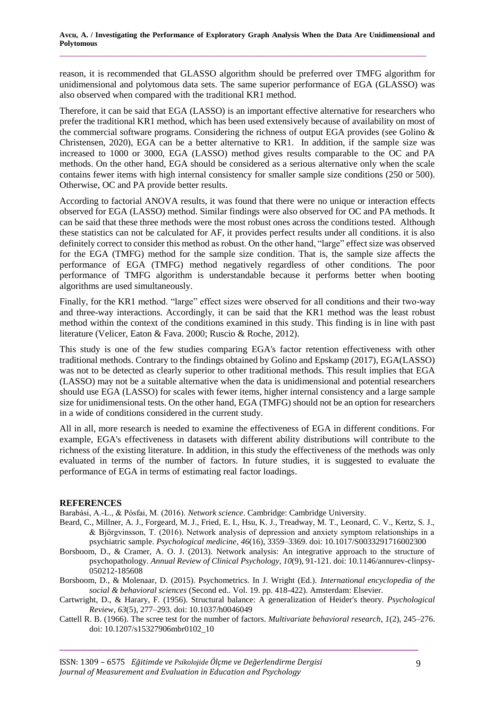reason, it is recommended that GLASSO algorithm should be preferred over TMFG algorithm for unidimensional and polytomous data sets. The same superior performance of EGA (GLASSO) was also observed when compared with the traditional KR1 method.

Therefore, it can be said that EGA (LASSO) is an important effective alternative for researchers who prefer the traditional KR1 method, which has been used extensively because of availability on most of the commercial software programs. Considering the richness of output EGA provides (see Golino & Christensen, 2020), EGA can be a better alternative to KR1. In addition, if the sample size was increased to 1000 or 3000, EGA (LASSO) method gives results comparable to the OC and PA methods. On the other hand, EGA should be considered as a serious alternative only when the scale contains fewer items with high internal consistency for smaller sample size conditions (250 or 500). Otherwise, OC and PA provide better results.

According to factorial ANOVA results, it was found that there were no unique or interaction effects observed for EGA (LASSO) method. Similar findings were also observed for OC and PA methods. It can be said that these three methods were the most robust ones across the conditions tested. Although these statistics can not be calculated for AF, it provides perfect results under all conditions. it is also definitely correct to consider this method as robust. On the other hand, "large" effect size was observed for the EGA (TMFG) method for the sample size condition. That is, the sample size affects the performance of EGA (TMFG) method negatively regardless of other conditions. The poor performance of TMFG algorithm is understandable because it performs better when booting algorithms are used simultaneously.

Finally, for the KR1 method. "large" effect sizes were observed for all conditions and their two-way and three-way interactions. Accordingly, it can be said that the KR1 method was the least robust method within the context of the conditions examined in this study. This finding is in line with past literature (Velicer, Eaton & Fava. 2000; Ruscio & Roche, 2012).

This study is one of the few studies comparing EGA's factor retention effectiveness with other traditional methods. Contrary to the findings obtained by Golino and Epskamp (2017), EGA(LASSO) was not to be detected as clearly superior to other traditional methods. This result implies that EGA (LASSO) may not be a suitable alternative when the data is unidimensional and potential researchers should use EGA (LASSO) for scales with fewer items, higher internal consistency and a large sample size for unidimensional tests. On the other hand, EGA (TMFG) should not be an option for researchers in a wide of conditions considered in the current study.

All in all, more research is needed to examine the effectiveness of EGA in different conditions. For example, EGA's effectiveness in datasets with different ability distributions will contribute to the richness of the existing literature. In addition, in this study the effectiveness of the methods was only evaluated in terms of the number of factors. In future studies, it is suggested to evaluate the performance of EGA in terms of estimating real factor loadings.

### **REFERENCES**

Barabási, A.-L., & Pósfai, M. (2016). *Network science*. Cambridge: Cambridge University.

- Beard, C., Millner, A. J., Forgeard, M. J., Fried, E. I., Hsu, K. J., Treadway, M. T., Leonard, C. V., Kertz, S. J., & Björgvinsson, T. (2016). Network analysis of depression and anxiety symptom relationships in a psychiatric sample. *Psychological medicine*, *46*(16), 3359–3369. [doi:](https://doi/) 10.1017/S0033291716002300
- Borsboom, D., & Cramer, A. O. J. (2013). Network analysis: An integrative approach to the structure of psychopathology. *Annual Review of Clinical Psychology*, *10*(9), 91-121[. doi: 10.1146/annurev-clinpsy-](http://doi.org/10.1146/annurev-clinpsy-050212-185608)[050212-185608](http://doi.org/10.1146/annurev-clinpsy-050212-185608)
- Borsboom, D., & Molenaar, D. (2015). Psychometrics. In J. Wright (Ed.). *International encyclopedia of the social & behavioral sciences* (Second ed.. Vol. 19. pp. 418-422). Amsterdam: Elsevier.
- Cartwright, D., & Harary, F. (1956). Structural balance: A generalization of Heider's theory. *Psychological Review*, *63*(5), 277–293. [doi: 10.1037/h0046049](http://doi.org/10.1037/h0046049)
- Cattell R. B. (1966). The scree test for the number of factors. *Multivariate behavioral research*, *1*(2), 245–276. doi: 10.1207/s15327906mbr0102\_10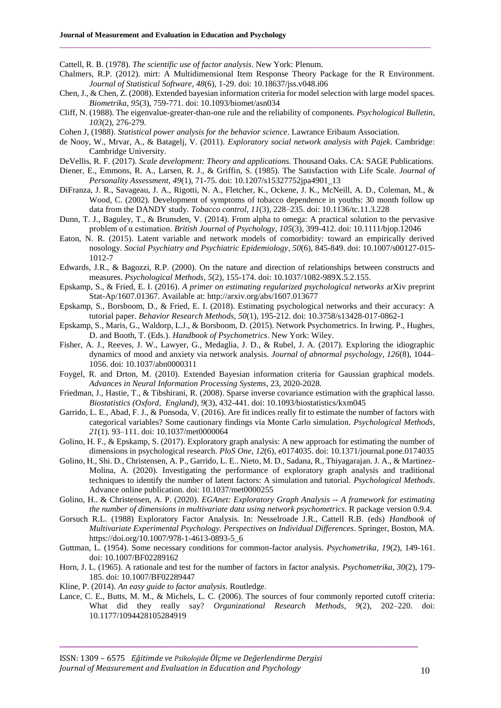Cattell, R. B. (1978). *The scientific use of factor analysis*. New York: Plenum.

Chalmers, R.P. (2012). mirt: A Multidimensional Item Response Theory Package for the R Environment. *Journal of Statistical Software*, *48*(6), 1-29. doi: 10.18637/jss.v048.i06

 $\_$  , and the state of the state of the state of the state of the state of the state of the state of the state of the state of the state of the state of the state of the state of the state of the state of the state of the

- Chen, J., & Chen, Z. (2008). Extended bayesian information criteria for model selection with large model spaces. *Biometrika*, *95*(3), 759-771. doi: 10.1093/biomet/asn034
- Cliff, N. (1988). The eigenvalue-greater-than-one rule and the reliability of components. *Psychological Bulletin*, *103*(2), 276-279.
- Cohen J, (1988). *Statistical power analysis for the behavior science*. Lawrance Eribaum Association.
- de Nooy, W., Mrvar, A., & Batagelj, V. (2011). *Exploratory social network analysis with Pajek*. Cambridge: Cambridge University.
- DeVellis, R. F. (2017). *Scale development: Theory and applications*. Thousand Oaks. CA: SAGE Publications.
- Diener, E., Emmons, R. A., Larsen, R. J., & Griffin, S. (1985). The Satisfaction with Life Scale. *Journal of Personality Assessment*, *49*(1), 71-75. [doi: 10.1207/s15327752jpa4901\\_13](https://doi.org/10.1207/s15327752jpa4901_13)
- DiFranza, J. R., Savageau, J. A., Rigotti, N. A., Fletcher, K., Ockene, J. K., McNeill, A. D., Coleman, M., & Wood, C. (2002). Development of symptoms of tobacco dependence in youths: 30 month follow up data from the DANDY study. *Tobacco control*, *11*(3), 228–235. doi: 10.1136/tc.11.3.228
- Dunn, T. J., Baguley, T., & Brunsden, V. (2014). From alpha to omega: A practical solution to the pervasive problem of α estimation. *British Journal of Psychology*, *105*(3), 399-412. [doi: 10.1111/bjop.12046](https://doi.org/10.1111/bjop.12046)
- Eaton, N. R. (2015). Latent variable and network models of comorbidity: toward an empirically derived nosology. *Social Psychiatry and Psychiatric Epidemiology*, *50*(6), 845-849. doi: 10.1007/s00127-015- 1012-7
- Edwards, J.R., & Bagozzi, R.P. (2000). On the nature and direction of relationships between constructs and measures. *Psychological Methods*, *5*(2), 155-174. [doi: 10.1037/1082-989X.5.2.155.](https://doi.org/10.1037/1082-989X.5.2.155)
- Epskamp, S., & Fried, E. I. (2016). *A primer on estimating regularized psychological networks* arXiv preprint Stat-Ap/1607.01367. Available at:<http://arxiv.org/abs/1607.013677>
- Epskamp, S., Borsboom, D., & Fried, E. I. (2018). Estimating psychological networks and their accuracy: A tutorial paper. *Behavior Research Methods*, *50*(1), 195-212. [doi: 10.3758/s13428-017-0862-1](https://doi.org/10.3758/s13428-017-0862-1)
- Epskamp, S., Maris, G., Waldorp, L.J., & Borsboom, D. (2015). Network Psychometrics. In Irwing. P., Hughes, D. and Booth, T. (Eds.). *Handbook of Psychometrics*. New York: Wiley.
- Fisher, A. J., Reeves, J. W., Lawyer, G., Medaglia, J. D., & Rubel, J. A. (2017). Exploring the idiographic dynamics of mood and anxiety via network analysis. *Journal of abnormal psychology*, *126*(8), 1044– 1056. doi: 10.1037/abn0000311
- Foygel, R. and Drton, M. (2010). Extended Bayesian information criteria for Gaussian graphical models. *Advances in Neural Information Processing Systems*, 23, 2020-2028.
- Friedman, J., Hastie, T., & Tibshirani, R. (2008). Sparse inverse covariance estimation with the graphical lasso. *Biostatistics (Oxford, England)*, *9*(3), 432-441. [doi: 10.1093/biostatistics/kxm045](https://doi.org/10.1093/biostatistics/kxm045)
- Garrido, L. E., Abad, F. J., & Ponsoda, V. (2016). Are fit indices really fit to estimate the number of factors with categorical variables? Some cautionary findings via Monte Carlo simulation. *Psychological Methods*, *21*(1). 93–111. [doi: 10.1037/met0000064](https://doi.org/10.1037/met0000064)
- Golino, H. F., & Epskamp, S. (2017). Exploratory graph analysis: A new approach for estimating the number of dimensions in psychological research. *PloS One*, *12*(6), e0174035. doi: 10.1371/journal.pone.0174035
- Golino, H., Shi. D., Christensen, A. P., Garrido, L. E.. Nieto, M. D., Sadana, R., Thiyagarajan. J. A., & Martinez-Molina, A. (2020). Investigating the performance of exploratory graph analysis and traditional techniques to identify the number of latent factors: A simulation and tutorial. *Psychological Methods*. Advance online publication. [doi: 10.1037/met0000255](https://doi.org/10.1037/met0000255)
- Golino, H.. & Christensen, A. P. (2020). *EGAnet: Exploratory Graph Analysis -- A framework for estimating the number of dimensions in multivariate data using network psychometrics*. R package version 0.9.4.
- Gorsuch R.L. (1988) Exploratory Factor Analysis. In: Nesselroade J.R., Cattell R.B. (eds) *Handbook of Multivariate Experimental Psychology. Perspectives on Individual Differences*. Springer, Boston, MA. https://doi.org/10.1007/978-1-4613-0893-5\_6
- Guttman, L. (1954). Some necessary conditions for common-factor analysis. *Psychometrika*, *19*(2), 149-161. doi: 10.1007/BF02289162
- Horn, J. L. (1965). A rationale and test for the number of factors in factor analysis. *Psychometrika*, *30*(2), 179- 185. doi: 10.1007/BF02289447
- Kline, P. (2014). *An easy guide to factor analysis*. Routledge.
- Lance, C. E., Butts, M. M., & Michels, L. C. (2006). The sources of four commonly reported cutoff criteria: What did they really say? *Organizational Research Methods*, *9*(2), 202–220. doi: 10.1177/1094428105284919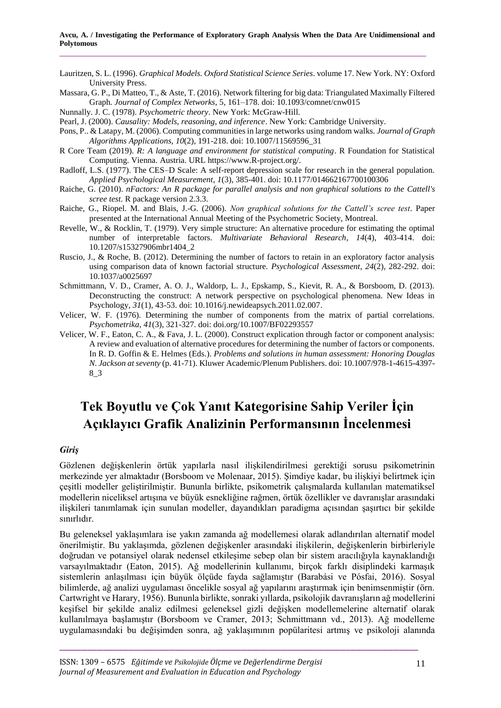Lauritzen, S. L. (1996). *Graphical Models. Oxford Statistical Science Series*. volume 17. New York. NY: Oxford University Press.

Massara, G. P., Di Matteo, T., & Aste, T. (2016). Network filtering for big data: Triangulated Maximally Filtered Graph. *Journal of Complex Networks*, 5, 161–178. [doi: 10.1093/comnet/cnw015](https://doi.org/10.1093/comnet/cnw015)

- Nunnally. J. C. (1978). *Psychometric theory*. New York: McGraw-Hill.
- Pearl, J. (2000). *Causality: Models, reasoning, and inference*. New York: Cambridge University.
- Pons, P.. & Latapy, M. (2006). Computing communities in large networks using random walks. *Journal of Graph Algorithms Applications, 10*(2), 191-218. doi: 10.1007/11569596\_31
- R Core Team (2019). *R: A language and environment for statistical computing*. R Foundation for Statistical Computing. Vienna. Austria. URL [https://www.R-project.org/.](https://www.r-project.org/)
- Radloff, L.S. (1977). The CES–D Scale: A self-report depression scale for research in the general population. *Applied Psychological Measurement*, *1*(3), 385-401. doi: 10.1177/014662167700100306
- Raiche, G. (2010). *nFactors: An R package for parallel analysis and non graphical solutions to the Cattell's scree test*. R package version 2.3.3.
- Raiche, G., Riopel. M. and Blais, J.-G. (2006). *Non graphical solutions for the Cattell's scree test*. Paper presented at the International Annual Meeting of the Psychometric Society, Montreal.
- Revelle, W., & Rocklin, T. (1979). Very simple structure: An alternative procedure for estimating the optimal number of interpretable factors. *Multivariate Behavioral Research*, *14*(4), 403-414. doi: 10.1207/s15327906mbr1404\_2
- Ruscio, J., & Roche, B. (2012). Determining the number of factors to retain in an exploratory factor analysis using comparison data of known factorial structure. *Psychological Assessment*, *24*(2), 282-292. [doi:](https://doi.org/10.1037/a0025697)  [10.1037/a0025697](https://doi.org/10.1037/a0025697)
- Schmittmann, V. D., Cramer, A. O. J., Waldorp, L. J., Epskamp, S., Kievit, R. A., & Borsboom, D. (2013). Deconstructing the construct: A network perspective on psychological phenomena. New Ideas in Psychology, *31*(1), 43-53. [doi: 10.1016/j.newideapsych.2011.02.007.](http://dx.doi.org/10.1016/j.newideapsych.2011.02.007)
- Velicer, W. F. (1976). Determining the number of components from the matrix of partial correlations. *Psychometrika*, *41*(3), 321-327. doi: doi.org/10.1007/BF02293557
- Velicer, W. F., Eaton, C. A., & Fava, J. L. (2000). Construct explication through factor or component analysis: A review and evaluation of alternative procedures for determining the number of factors or components. In R. D. Goffin & E. Helmes (Eds.). *Problems and solutions in human assessment: Honoring Douglas N. Jackson at seventy* (p. 41-71). Kluwer Academic/Plenum Publishers. [doi: 10.1007/978-1-4615-4397-](https://doi.org/10.1007/978-1-4615-4397-8_3) [8\\_3](https://doi.org/10.1007/978-1-4615-4397-8_3)

# **Tek Boyutlu ve Çok Yanıt Kategorisine Sahip Veriler İçin Açıklayıcı Grafik Analizinin Performansının İncelenmesi**

### *Giriş*

Gözlenen değişkenlerin örtük yapılarla nasıl ilişkilendirilmesi gerektiği sorusu psikometrinin merkezinde yer almaktadır (Borsboom ve Molenaar, 2015). Şimdiye kadar, bu ilişkiyi belirtmek için çeşitli modeller geliştirilmiştir. Bununla birlikte, psikometrik çalışmalarda kullanılan matematiksel modellerin niceliksel artışına ve büyük esnekliğine rağmen, örtük özellikler ve davranışlar arasındaki ilişkileri tanımlamak için sunulan modeller, dayandıkları paradigma açısından şaşırtıcı bir şekilde sınırlıdır.

Bu geleneksel yaklaşımlara ise yakın zamanda ağ modellemesi olarak adlandırılan alternatif model önerilmiştir. Bu yaklaşımda, gözlenen değişkenler arasındaki ilişkilerin, değişkenlerin birbirleriyle doğrudan ve potansiyel olarak nedensel etkileşime sebep olan bir sistem aracılığıyla kaynaklandığı varsayılmaktadır (Eaton, 2015). Ağ modellerinin kullanımı, birçok farklı disiplindeki karmaşık sistemlerin anlaşılması için büyük ölçüde fayda sağlamıştır (Barabási ve Pósfai, 2016). Sosyal bilimlerde, ağ analizi uygulaması öncelikle sosyal ağ yapılarını araştırmak için benimsenmiştir (örn. Cartwright ve Harary, 1956). Bununla birlikte, sonraki yıllarda, psikolojik davranışların ağ modellerini keşifsel bir şekilde analiz edilmesi geleneksel gizli değişken modellemelerine alternatif olarak kullanılmaya başlamıştır (Borsboom ve Cramer, 2013; Schmittmann vd., 2013). Ağ modelleme uygulamasındaki bu değişimden sonra, ağ yaklaşımının popülaritesi artmış ve psikoloji alanında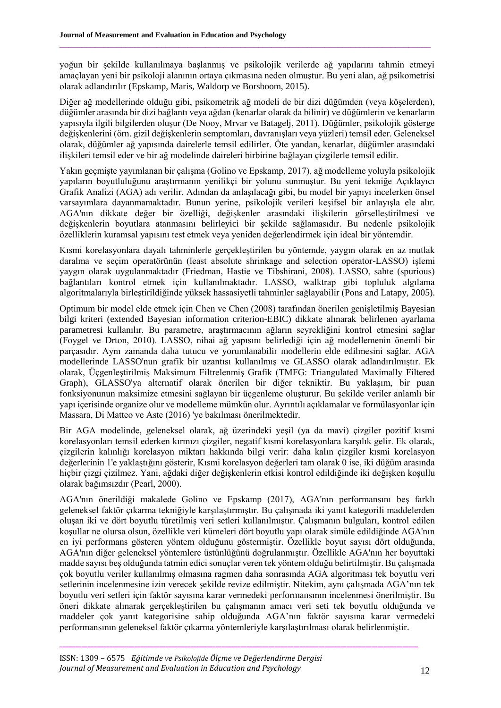yoğun bir şekilde kullanılmaya başlanmış ve psikolojik verilerde ağ yapılarını tahmin etmeyi amaçlayan yeni bir psikoloji alanının ortaya çıkmasına neden olmuştur. Bu yeni alan, ağ psikometrisi olarak adlandırılır (Epskamp, Maris, Waldorp ve Borsboom, 2015).

 $\_$  , and the state of the state of the state of the state of the state of the state of the state of the state of the state of the state of the state of the state of the state of the state of the state of the state of the

Diğer ağ modellerinde olduğu gibi, psikometrik ağ modeli de bir dizi düğümden (veya köşelerden), düğümler arasında bir dizi bağlantı veya ağdan (kenarlar olarak da bilinir) ve düğümlerin ve kenarların yapısıyla ilgili bilgilerden oluşur (De Nooy, Mrvar ve Batagelj, 2011). Düğümler, psikolojik gösterge değişkenlerini (örn. gizil değişkenlerin semptomları, davranışları veya yüzleri) temsil eder. Geleneksel olarak, düğümler ağ yapısında dairelerle temsil edilirler. Öte yandan, kenarlar, düğümler arasındaki ilişkileri temsil eder ve bir ağ modelinde daireleri birbirine bağlayan çizgilerle temsil edilir.

Yakın geçmişte yayımlanan bir çalışma (Golino ve Epskamp, 2017), ağ modelleme yoluyla psikolojik yapıların boyutluluğunu araştırmanın yenilikçi bir yolunu sunmuştur. Bu yeni tekniğe Açıklayıcı Grafik Analizi (AGA) adı verilir. Adından da anlaşılacağı gibi, bu model bir yapıyı incelerken önsel varsayımlara dayanmamaktadır. Bunun yerine, psikolojik verileri keşifsel bir anlayışla ele alır. AGA'nın dikkate değer bir özelliği, değişkenler arasındaki ilişkilerin görselleştirilmesi ve değişkenlerin boyutlara atanmasını belirleyici bir şekilde sağlamasıdır. Bu nedenle psikolojik özelliklerin kuramsal yapısını test etmek veya yeniden değerlendirmek için ideal bir yöntemdir.

Kısmi korelasyonlara dayalı tahminlerle gerçekleştirilen bu yöntemde, yaygın olarak en az mutlak daralma ve seçim operatörünün (least absolute shrinkage and selection operator-LASSO) işlemi yaygın olarak uygulanmaktadır (Friedman, Hastie ve Tibshirani, 2008). LASSO, sahte (spurious) bağlantıları kontrol etmek için kullanılmaktadır. LASSO, walktrap gibi topluluk algılama algoritmalarıyla birleştirildiğinde yüksek hassasiyetli tahminler sağlayabilir (Pons and Latapy, 2005).

Optimum bir model elde etmek için Chen ve Chen (2008) tarafından önerilen genişletilmiş Bayesian bilgi kriteri (extended Bayesian information criterion-EBIC) dikkate alınarak belirlenen ayarlama parametresi kullanılır. Bu parametre, araştırmacının ağların seyrekliğini kontrol etmesini sağlar (Foygel ve Drton, 2010). LASSO, nihai ağ yapısını belirlediği için ağ modellemenin önemli bir parçasıdır. Aynı zamanda daha tutucu ve yorumlanabilir modellerin elde edilmesini sağlar. AGA modellerinde LASSO'nun grafik bir uzantısı kullanılmış ve GLASSO olarak adlandırılmıştır. Ek olarak, Üçgenleştirilmiş Maksimum Filtrelenmiş Grafik (TMFG: Triangulated Maximally Filtered Graph), GLASSO'ya alternatif olarak önerilen bir diğer tekniktir. Bu yaklaşım, bir puan fonksiyonunun maksimize etmesini sağlayan bir üçgenleme oluşturur. Bu şekilde veriler anlamlı bir yapı içerisinde organize olur ve modelleme mümkün olur. Ayrıntılı açıklamalar ve formülasyonlar için Massara, Di Matteo ve Aste (2016) 'ye bakılması önerilmektedir.

Bir AGA modelinde, geleneksel olarak, ağ üzerindeki yeşil (ya da mavi) çizgiler pozitif kısmi korelasyonları temsil ederken kırmızı çizgiler, negatif kısmi korelasyonlara karşılık gelir. Ek olarak, çizgilerin kalınlığı korelasyon miktarı hakkında bilgi verir: daha kalın çizgiler kısmi korelasyon değerlerinin 1'e yaklaştığını gösterir, Kısmi korelasyon değerleri tam olarak 0 ise, iki düğüm arasında hiçbir çizgi çizilmez. Yani, ağdaki diğer değişkenlerin etkisi kontrol edildiğinde iki değişken koşullu olarak bağımsızdır (Pearl, 2000).

AGA'nın önerildiği makalede Golino ve Epskamp (2017), AGA'nın performansını beş farklı geleneksel faktör çıkarma tekniğiyle karşılaştırmıştır. Bu çalışmada iki yanıt kategorili maddelerden oluşan iki ve dört boyutlu türetilmiş veri setleri kullanılmıştır. Çalışmanın bulguları, kontrol edilen koşullar ne olursa olsun, özellikle veri kümeleri dört boyutlu yapı olarak simüle edildiğinde AGA'nın en iyi performans gösteren yöntem olduğunu göstermiştir. Özellikle boyut sayısı dört olduğunda, AGA'nın diğer geleneksel yöntemlere üstünlüğünü doğrulanmıştır. Özellikle AGA'nın her boyuttaki madde sayısı beş olduğunda tatmin edici sonuçlar veren tek yöntem olduğu belirtilmiştir. Bu çalışmada çok boyutlu veriler kullanılmış olmasına ragmen daha sonrasında AGA algoritması tek boyutlu veri setlerinin incelenmesine izin verecek şekilde revize edilmiştir. Nitekim, aynı çalışmada AGA'nın tek boyutlu veri setleri için faktör sayısına karar vermedeki performansının incelenmesi önerilmiştir. Bu öneri dikkate alınarak gerçekleştirilen bu çalışmanın amacı veri seti tek boyutlu olduğunda ve maddeler çok yanıt kategorisine sahip olduğunda AGA'nın faktör sayısına karar vermedeki performansının geleneksel faktör çıkarma yöntemleriyle karşılaştırılması olarak belirlenmiştir.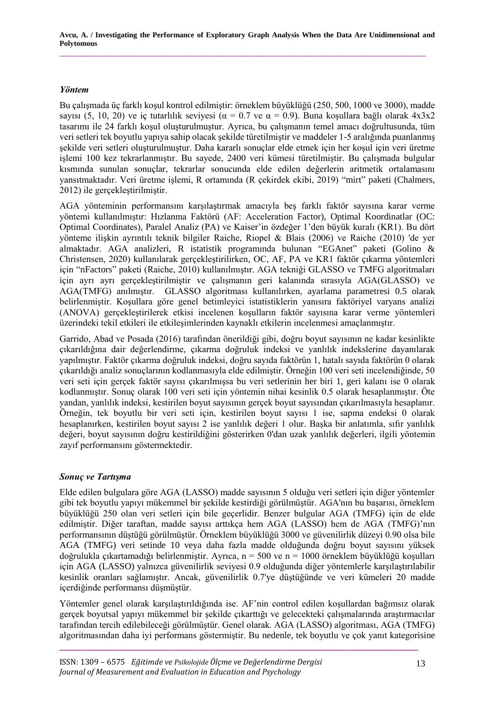**Avcu, A. / Investigating the Performance of Exploratory Graph Analysis When the Data Are Unidimensional and Polytomous**

\_\_\_\_\_\_\_\_\_\_\_\_\_\_\_\_\_\_\_\_\_\_\_\_\_\_\_\_\_\_\_\_\_\_\_\_\_\_\_\_\_\_\_\_\_\_\_\_\_\_\_\_\_\_\_\_\_\_\_\_\_\_\_\_\_\_\_\_\_\_\_\_\_\_\_\_\_\_\_\_\_\_\_

## *Yöntem*

Bu çalışmada üç farklı koşul kontrol edilmiştir: örneklem büyüklüğü (250, 500, 1000 ve 3000), madde sayısı (5, 10, 20) ve iç tutarlılık seviyesi ( $\alpha = 0.7$  ve  $\alpha = 0.9$ ). Buna kosullara bağlı olarak 4x3x2 tasarımı ile 24 farklı koşul oluşturulmuştur. Ayrıca, bu çalışmanın temel amacı doğrultusunda, tüm veri setleri tek boyutlu yapıya sahip olacak şekilde türetilmiştir ve maddeler 1-5 aralığında puanlanmış şekilde veri setleri oluşturulmuştur. Daha kararlı sonuçlar elde etmek için her koşul için veri üretme işlemi 100 kez tekrarlanmıştır. Bu sayede, 2400 veri kümesi türetilmiştir. Bu çalışmada bulgular kısmında sunulan sonuçlar, tekrarlar sonucunda elde edilen değerlerin aritmetik ortalamasını yansıtmaktadır. Veri üretme işlemi, R ortamında (R çekirdek ekibi, 2019) "mirt" paketi (Chalmers, 2012) ile gerçekleştirilmiştir.

AGA yönteminin performansını karşılaştırmak amacıyla beş farklı faktör sayısına karar verme yöntemi kullanılmıştır: Hızlanma Faktörü (AF: Acceleration Factor), Optimal Koordinatlar (OC: Optimal Coordinates), Paralel Analiz (PA) ve Kaiser'in özdeğer 1'den büyük kuralı (KR1). Bu dört yönteme ilişkin ayrıntılı teknik bilgiler Raiche, Riopel & Blais (2006) ve Raiche (2010) 'de yer almaktadır. AGA analizleri, R istatistik programında bulunan "EGAnet" paketi (Golino & Christensen, 2020) kullanılarak gerçekleştirilirken, OC, AF, PA ve KR1 faktör çıkarma yöntemleri için "nFactors" paketi (Raiche, 2010) kullanılmıştır. AGA tekniği GLASSO ve TMFG algoritmaları için ayrı ayrı gerçekleştirilmiştir ve çalışmanın geri kalanında sırasıyla AGA(GLASSO) ve AGA(TMFG) anılmıştır. GLASSO algoritması kullanılırken, ayarlama parametresi 0.5 olarak belirlenmiştir. Koşullara göre genel betimleyici istatistiklerin yanısıra faktöriyel varyans analizi (ANOVA) gerçekleştirilerek etkisi incelenen koşulların faktör sayısına karar verme yöntemleri üzerindeki tekil etkileri ile etkileşimlerinden kaynaklı etkilerin incelenmesi amaçlanmıştır.

Garrido, Abad ve Posada (2016) tarafından önerildiği gibi, doğru boyut sayısının ne kadar kesinlikte çıkarıldığına dair değerlendirme, çıkarma doğruluk indeksi ve yanlılık indekslerine dayanılarak yapılmıştır. Faktör çıkarma doğruluk indeksi, doğru sayıda faktörün 1, hatalı sayıda faktörün 0 olarak çıkarıldığı analiz sonuçlarının kodlanmasıyla elde edilmiştir. Örneğin 100 veri seti incelendiğinde, 50 veri seti için gerçek faktör sayısı çıkarılmışsa bu veri setlerinin her biri 1, geri kalanı ise 0 olarak kodlanmıştır. Sonuç olarak 100 veri seti için yöntemin nihai kesinlik 0.5 olarak hesaplanmıştır. Öte yandan, yanlılık indeksi, kestirilen boyut sayısının gerçek boyut sayısından çıkarılmasıyla hesaplanır. Örneğin, tek boyutlu bir veri seti için, kestirilen boyut sayısı 1 ise, sapma endeksi 0 olarak hesaplanırken, kestirilen boyut sayısı 2 ise yanlılık değeri 1 olur. Başka bir anlatımla, sıfır yanlılık değeri, boyut sayısının doğru kestirildiğini gösterirken 0'dan uzak yanlılık değerleri, ilgili yöntemin zayıf performansını göstermektedir.

# *Sonuç ve Tartışma*

Elde edilen bulgulara göre AGA (LASSO) madde sayısının 5 olduğu veri setleri için diğer yöntemler gibi tek boyutlu yapıyı mükemmel bir şekilde kestirdiği görülmüştür. AGA'nın bu başarısı, örneklem büyüklüğü 250 olan veri setleri için bile geçerlidir. Benzer bulgular AGA (TMFG) için de elde edilmiştir. Diğer taraftan, madde sayısı arttıkça hem AGA (LASSO) hem de AGA (TMFG)'nın performansının düştüğü görülmüştür. Örneklem büyüklüğü 3000 ve güvenilirlik düzeyi 0.90 olsa bile AGA (TMFG) veri setinde 10 veya daha fazla madde olduğunda doğru boyut sayısını yüksek doğrulukla çıkartamadığı belirlenmiştir. Ayrıca,  $n = 500$  ve  $n = 1000$  örneklem büyüklüğü koşulları için AGA (LASSO) yalnızca güvenilirlik seviyesi 0.9 olduğunda diğer yöntemlerle karşılaştırılabilir kesinlik oranları sağlamıştır. Ancak, güvenilirlik 0.7'ye düştüğünde ve veri kümeleri 20 madde içerdiğinde performansı düşmüştür.

Yöntemler genel olarak karşılaştırıldığında ise. AF'nin control edilen koşullardan bağımsız olarak gerçek boyutsal yapıyı mükemmel bir şekilde çıkarttığı ve gelecekteki çalışmalarında araştırmacılar tarafından tercih edilebileceği görülmüştür. Genel olarak. AGA (LASSO) algoritması, AGA (TMFG) algoritmasından daha iyi performans göstermiştir. Bu nedenle, tek boyutlu ve çok yanıt kategorisine